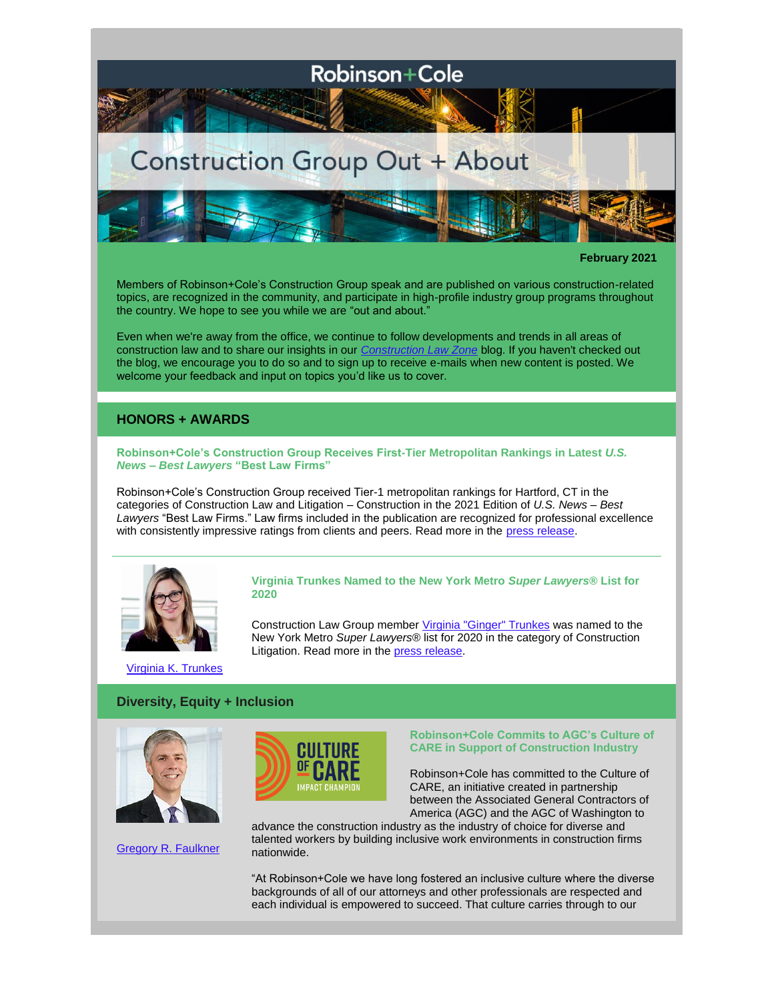

#### **February 2021**

Members of Robinson+Cole's Construction Group speak and are published on various construction-related topics, are recognized in the community, and participate in high-profile industry group programs throughout the country. We hope to see you while we are "out and about."

Even when we're away from the office, we continue to follow developments and trends in all areas of construction law and to share our insights in our *[Construction Law Zone](https://www.constructionlawzone.com/)* blog. If you haven't checked out the blog, we encourage you to do so and to sign up to receive e-mails when new content is posted. We welcome your feedback and input on topics you'd like us to cover.

## **HONORS + AWARDS**

**Robinson+Cole's Construction Group Receives First-Tier Metropolitan Rankings in Latest** *U.S. News – Best Lawyers* **"Best Law Firms"**

Robinson+Cole's Construction Group received Tier-1 metropolitan rankings for Hartford, CT in the categories of Construction Law and Litigation – Construction in the 2021 Edition of *U.S. News – Best Lawyers* "Best Law Firms." Law firms included in the publication are recognized for professional excellence with consistently impressive ratings from clients and peers. Read more in the [press release.](http://www.rc.com/upload/Press-Release_RobinsonCole-2021-Best-Law-Firms_11-6-20.pdf)



**Virginia Trunkes Named to the New York Metro** *Super Lawyers***® List for 2020** 

Construction Law Group member [Virginia "Ginger" Trunkes](http://www.rc.com/people/VirginiaKTrunkes.cfm) was named to the New York Metro *Super Lawyers*® list for 2020 in the category of Construction Litigation. Read more in the [press release.](http://www.rc.com/upload/Press-Release_Robinson-Cole-Super-Lawyers-NYC_10-28-20.pdf)

[Virginia K. Trunkes](http://www.rc.com/people/VirginiaKTrunkes.cfm)

# **Diversity, Equity + Inclusion**



[Gregory R. Faulkner](http://www.rc.com/people/GregoryRFaulkner.cfm)



### **Robinson+Cole Commits to AGC's Culture of CARE in Support of Construction Industry**

Robinson+Cole has committed to the Culture of CARE, an initiative created in partnership between the Associated General Contractors of America (AGC) and the AGC of Washington to

advance the construction industry as the industry of choice for diverse and talented workers by building inclusive work environments in construction firms nationwide.

"At Robinson+Cole we have long fostered an inclusive culture where the diverse backgrounds of all of our attorneys and other professionals are respected and each individual is empowered to succeed. That culture carries through to our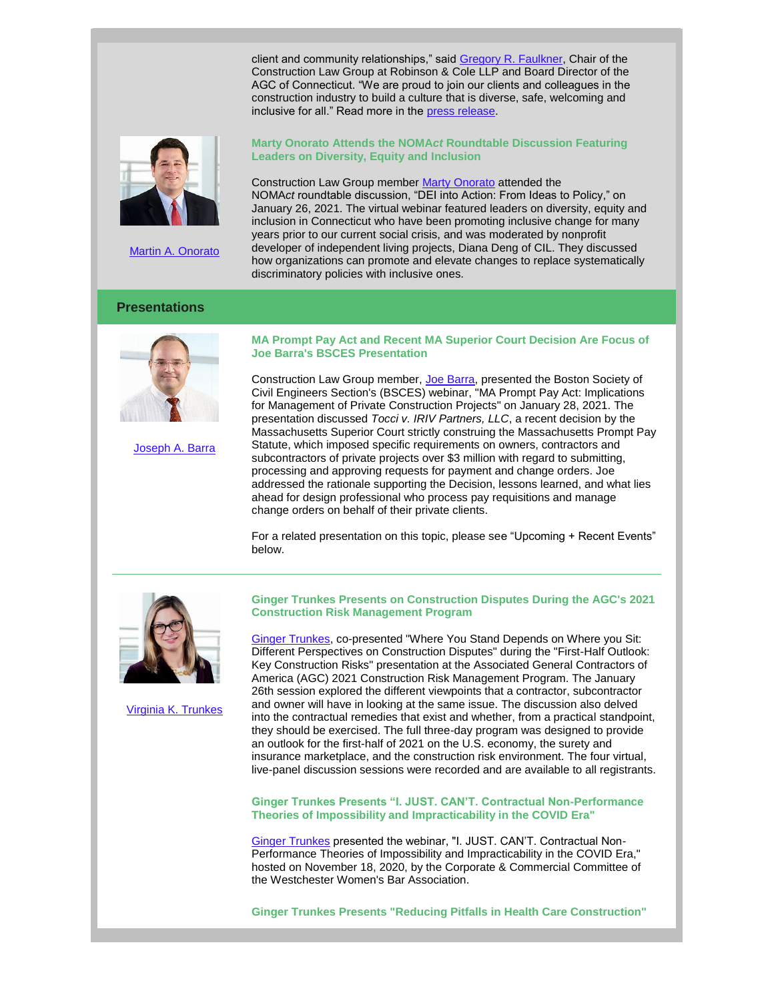client and community relationships," said [Gregory R. Faulkner,](http://www.rc.com/people/GregoryRFaulkner.cfm) Chair of the Construction Law Group at Robinson & Cole LLP and Board Director of the AGC of Connecticut. "We are proud to join our clients and colleagues in the construction industry to build a culture that is diverse, safe, welcoming and inclusive for all." Read more in the [press release.](http://www.rc.com/upload/Press-Release_Culture-of-Care_12-10-20.pdf)



[Martin A. Onorato](http://www.rc.com/people/MartinAOnorato.cfm)

## **Presentations**



[Joseph A. Barra](http://www.rc.com/people/JosephABarra.cfm)

### **Marty Onorato Attends the NOMA***ct* **Roundtable Discussion Featuring Leaders on Diversity, Equity and Inclusion**

Construction Law Group member [Marty Onorato](http://www.rc.com/people/MartinAOnorato.cfm) attended the NOMA*ct* roundtable discussion, "DEI into Action: From Ideas to Policy," on January 26, 2021. The virtual webinar featured leaders on diversity, equity and inclusion in Connecticut who have been promoting inclusive change for many years prior to our current social crisis, and was moderated by nonprofit developer of independent living projects, Diana Deng of CIL. They discussed how organizations can promote and elevate changes to replace systematically discriminatory policies with inclusive ones.

### **MA Prompt Pay Act and Recent MA Superior Court Decision Are Focus of Joe Barra's BSCES Presentation**

Construction Law Group member, [Joe Barra,](http://www.rc.com/people/JosephABarra.cfm) presented the Boston Society of Civil Engineers Section's (BSCES) webinar, "MA Prompt Pay Act: Implications for Management of Private Construction Projects" on January 28, 2021. The presentation discussed *Tocci v. IRIV Partners, LLC*, a recent decision by the Massachusetts Superior Court strictly construing the Massachusetts Prompt Pay Statute, which imposed specific requirements on owners, contractors and subcontractors of private projects over \$3 million with regard to submitting, processing and approving requests for payment and change orders. Joe addressed the rationale supporting the Decision, lessons learned, and what lies ahead for design professional who process pay requisitions and manage change orders on behalf of their private clients.

For a related presentation on this topic, please see "Upcoming + Recent Events" below.



[Virginia K. Trunkes](http://www.rc.com/people/VirginiaKTrunkes.cfm)

**Ginger Trunkes Presents on Construction Disputes During the AGC's 2021 Construction Risk Management Program**

[Ginger Trunkes,](http://www.rc.com/people/VirginiaKTrunkes.cfm) co-presented "Where You Stand Depends on Where you Sit: Different Perspectives on Construction Disputes" during the "First-Half Outlook: Key Construction Risks" presentation at the Associated General Contractors of America (AGC) 2021 Construction Risk Management Program. The January 26th session explored the different viewpoints that a contractor, subcontractor and owner will have in looking at the same issue. The discussion also delved into the contractual remedies that exist and whether, from a practical standpoint, they should be exercised. The full three-day program was designed to provide an outlook for the first-half of 2021 on the U.S. economy, the surety and insurance marketplace, and the construction risk environment. The four virtual, live-panel discussion sessions were recorded and are available to all registrants.

**Ginger Trunkes Presents "I. JUST. CAN'T. Contractual Non-Performance Theories of Impossibility and Impracticability in the COVID Era"**

[Ginger Trunkes](http://www.rc.com/people/VirginiaKTrunkes.cfm) presented the webinar, "I. JUST. CAN'T. Contractual Non-Performance Theories of Impossibility and Impracticability in the COVID Era," hosted on November 18, 2020, by the Corporate & Commercial Committee of the Westchester Women's Bar Association.

**Ginger Trunkes Presents "Reducing Pitfalls in Health Care Construction"**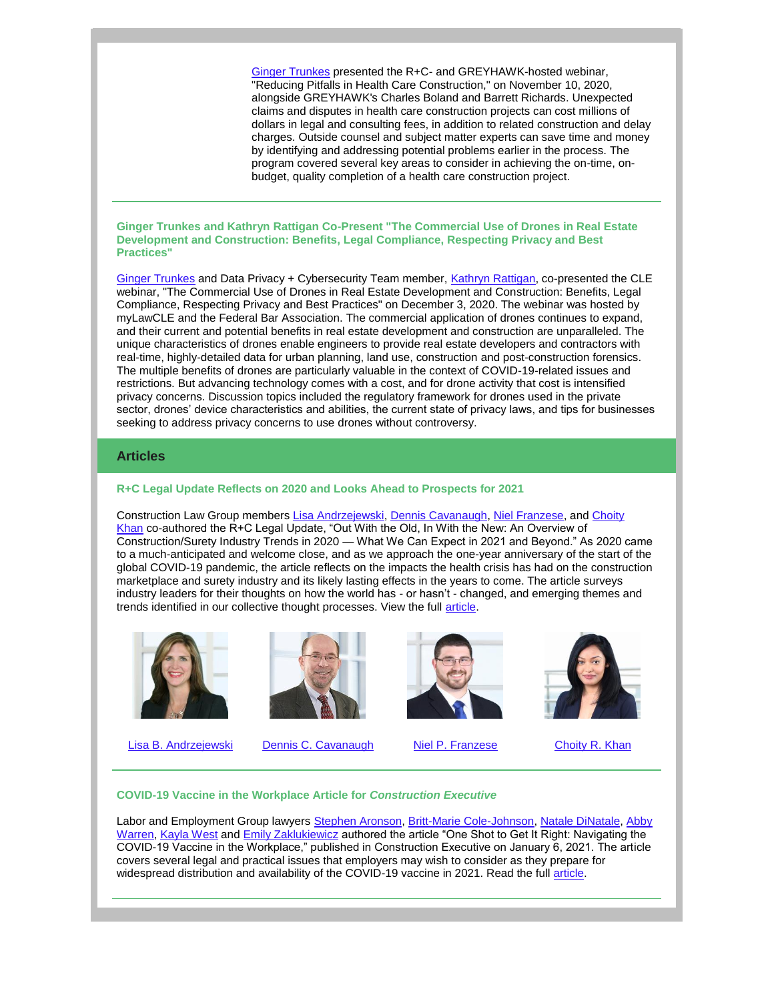[Ginger Trunkes](http://www.rc.com/people/VirginiaKTrunkes.cfm) presented the R+C- and GREYHAWK-hosted webinar, "Reducing Pitfalls in Health Care Construction," on November 10, 2020, alongside GREYHAWK's Charles Boland and Barrett Richards. Unexpected claims and disputes in health care construction projects can cost millions of dollars in legal and consulting fees, in addition to related construction and delay charges. Outside counsel and subject matter experts can save time and money by identifying and addressing potential problems earlier in the process. The program covered several key areas to consider in achieving the on-time, onbudget, quality completion of a health care construction project.

#### **Ginger Trunkes and Kathryn Rattigan Co-Present "The Commercial Use of Drones in Real Estate Development and Construction: Benefits, Legal Compliance, Respecting Privacy and Best Practices"**

[Ginger Trunkes](http://www.rc.com/people/VirginiaKTrunkes.cfm) and Data Privacy + Cybersecurity Team member, [Kathryn Rattigan,](http://www.rc.com/people/kathrynmrattigan.cfm) co-presented the CLE webinar, "The Commercial Use of Drones in Real Estate Development and Construction: Benefits, Legal Compliance, Respecting Privacy and Best Practices" on December 3, 2020. The webinar was hosted by myLawCLE and the Federal Bar Association. The commercial application of drones continues to expand, and their current and potential benefits in real estate development and construction are unparalleled. The unique characteristics of drones enable engineers to provide real estate developers and contractors with real-time, highly-detailed data for urban planning, land use, construction and post-construction forensics. The multiple benefits of drones are particularly valuable in the context of COVID-19-related issues and restrictions. But advancing technology comes with a cost, and for drone activity that cost is intensified privacy concerns. Discussion topics included the regulatory framework for drones used in the private sector, drones' device characteristics and abilities, the current state of privacy laws, and tips for businesses seeking to address privacy concerns to use drones without controversy.

## **Articles**

#### **R+C Legal Update Reflects on 2020 and Looks Ahead to Prospects for 2021**

Construction Law Group members [Lisa Andrzejewski,](http://www.rc.com/people/LisaBAndrzejewski.cfm) [Dennis Cavanaugh,](http://www.rc.com/people/DennisCCavanaugh.cfm) [Niel Franzese,](http://www.rc.com/people/AnielloPFranzese.cfm) and Choity [Khan](http://www.rc.com/people/ChoityKhan.cfm) co-authored the R+C Legal Update, "Out With the Old, In With the New: An Overview of Construction/Surety Industry Trends in 2020 — What We Can Expect in 2021 and Beyond." As 2020 came to a much-anticipated and welcome close, and as we approach the one-year anniversary of the start of the global COVID-19 pandemic, the article reflects on the impacts the health crisis has had on the construction marketplace and surety industry and its likely lasting effects in the years to come. The article surveys industry leaders for their thoughts on how the world has - or hasn't - changed, and emerging themes and trends identified in our collective thought processes. View the full [article.](http://www.rc.com/upload/LLCN-legal-update-12-17-20.pdf)





[Lisa B. Andrzejewski](http://www.rc.com/people/LisaBAndrzejewski.cfm) [Dennis C. Cavanaugh](http://www.rc.com/people/DennisCCavanaugh.cfm) [Niel P. Franzese](http://www.rc.com/people/AnielloPFranzese.cfm) [Choity R. Khan](http://www.rc.com/people/ChoityKhan.cfm)





**COVID-19 Vaccine in the Workplace Article for** *Construction Executive*

Labor and Employment Group lawyers [Stephen Aronson,](http://www.rc.com/people/StephenWAronson.cfm) [Britt-Marie Cole-Johnson,](http://www.rc.com/people/Britt-MarieKCole-Johnson.cfm) [Natale DiNatale,](http://www.rc.com/people/NataleVDiNatale.cfm) Abby [Warren,](http://www.rc.com/people/AbbyMWarren.cfm) [Kayla West](http://www.rc.com/people/KaylaNWest.cfm) and [Emily Zaklukiewicz](http://www.rc.com/people/EmilyAZaklukiewicz.cfm) authored the article "One Shot to Get It Right: Navigating the COVID-19 Vaccine in the Workplace," published in Construction Executive on January 6, 2021. The article covers several legal and practical issues that employers may wish to consider as they prepare for widespread distribution and availability of the COVID-19 vaccine in 2021. Read the full [article.](https://constructionexec.com/article/one-shot-to-get-it-right)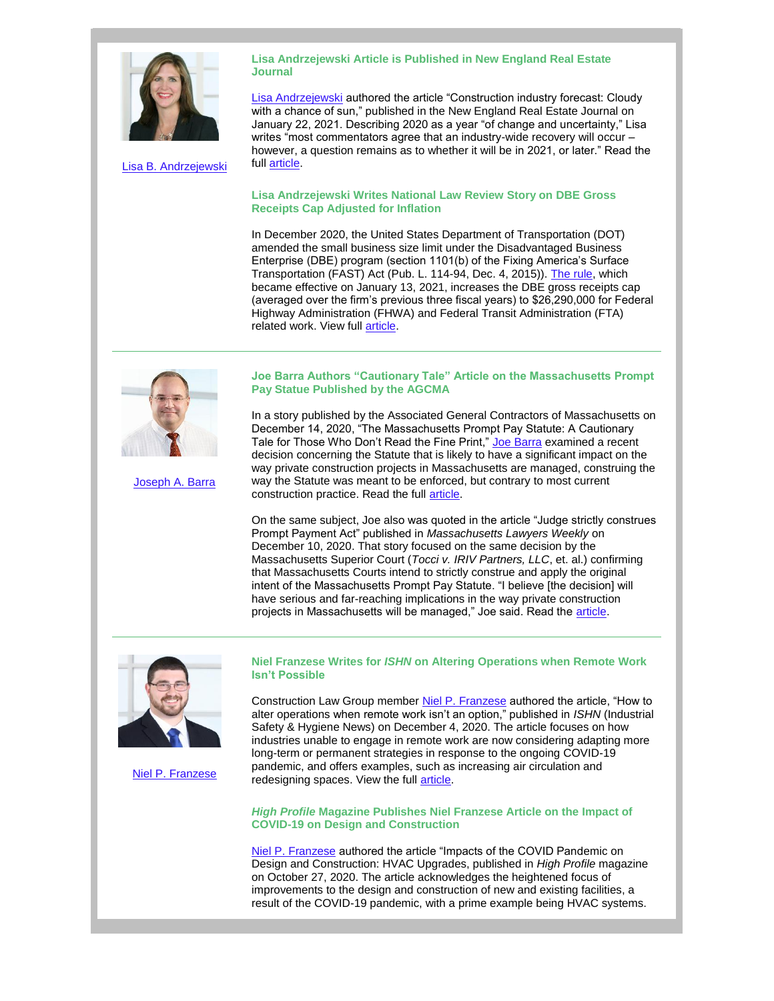

[Lisa B. Andrzejewski](http://www.rc.com/people/LisaBAndrzejewski.cfm)

**Lisa Andrzejewski Article is Published in New England Real Estate Journal**

[Lisa Andrzejewski](http://www.rc.com/people/LisaBAndrzejewski.cfm) authored the article "Construction industry forecast: Cloudy with a chance of sun," published in the New England Real Estate Journal on January 22, 2021. Describing 2020 as a year "of change and uncertainty," Lisa writes "most commentators agree that an industry-wide recovery will occur however, a question remains as to whether it will be in 2021, or later." Read the full [article.](https://nerej.com/construction-industry-forecast-cloudy-with-a-chance-of-sun-by-lisa-andrzejewski)

## **Lisa Andrzejewski Writes National Law Review Story on DBE Gross Receipts Cap Adjusted for Inflation**

In December 2020, the United States Department of Transportation (DOT) amended the small business size limit under the Disadvantaged Business Enterprise (DBE) program (section 1101(b) of the Fixing America's Surface Transportation (FAST) Act (Pub. L. 114-94, Dec. 4, 2015)). [The rule,](https://www.transportation.gov/sites/dot.gov/files/2020-12/Dec%2014%202020%20DBE%20Final%20Rule.pdf) which became effective on January 13, 2021, increases the DBE gross receipts cap (averaged over the firm's previous three fiscal years) to \$26,290,000 for Federal Highway Administration (FHWA) and Federal Transit Administration (FTA) related work. View full **article**.

## **Joe Barra Authors "Cautionary Tale" Article on the Massachusetts Prompt Pay Statue Published by the AGCMA**

In a story published by the Associated General Contractors of Massachusetts on December 14, 2020, "The Massachusetts Prompt Pay Statute: A Cautionary Tale for Those Who Don't Read the Fine Print," [Joe Barra](http://www.rc.com/people/JosephABarra.cfm) examined a recent decision concerning the Statute that is likely to have a significant impact on the way private construction projects in Massachusetts are managed, construing the way the Statute was meant to be enforced, but contrary to most current construction practice. Read the full **article**.

On the same subject, Joe also was quoted in the article "Judge strictly construes Prompt Payment Act" published in *Massachusetts Lawyers Weekly* on December 10, 2020. That story focused on the same decision by the Massachusetts Superior Court (*Tocci v. IRIV Partners, LLC*, et. al.) confirming that Massachusetts Courts intend to strictly construe and apply the original intent of the Massachusetts Prompt Pay Statute. "I believe [the decision] will have serious and far-reaching implications in the way private construction projects in Massachusetts will be managed," Joe said. Read the [article.](https://masslawyersweekly.com/2020/12/10/judge-strictly-construes-prompt-payment-act/)



[Niel P. Franzese](http://www.rc.com/people/AnielloPFranzese.cfm)

**Niel Franzese Writes for** *ISHN* **on Altering Operations when Remote Work Isn't Possible**

Construction Law Group member [Niel P. Franzese](http://www.rc.com/people/AnielloPFranzese.cfm) authored the article, "How to alter operations when remote work isn't an option," published in *ISHN* (Industrial Safety & Hygiene News) on December 4, 2020. The article focuses on how industries unable to engage in remote work are now considering adapting more long-term or permanent strategies in response to the ongoing COVID-19 pandemic, and offers examples, such as increasing air circulation and redesigning spaces. View the full [article.](https://www.ishn.com/articles/112787-how-to-alter-operations-when-remote-work-isnt-an-option)

### *High Profile* **Magazine Publishes Niel Franzese Article on the Impact of COVID-19 on Design and Construction**

[Niel P. Franzese](http://www.rc.com/people/AnielloPFranzese.cfm) authored the article "Impacts of the COVID Pandemic on Design and Construction: HVAC Upgrades, published in *High Profile* magazine on October 27, 2020. The article acknowledges the heightened focus of improvements to the design and construction of new and existing facilities, a result of the COVID-19 pandemic, with a prime example being HVAC systems.



[Joseph A. Barra](http://www.rc.com/people/JosephABarra.cfm)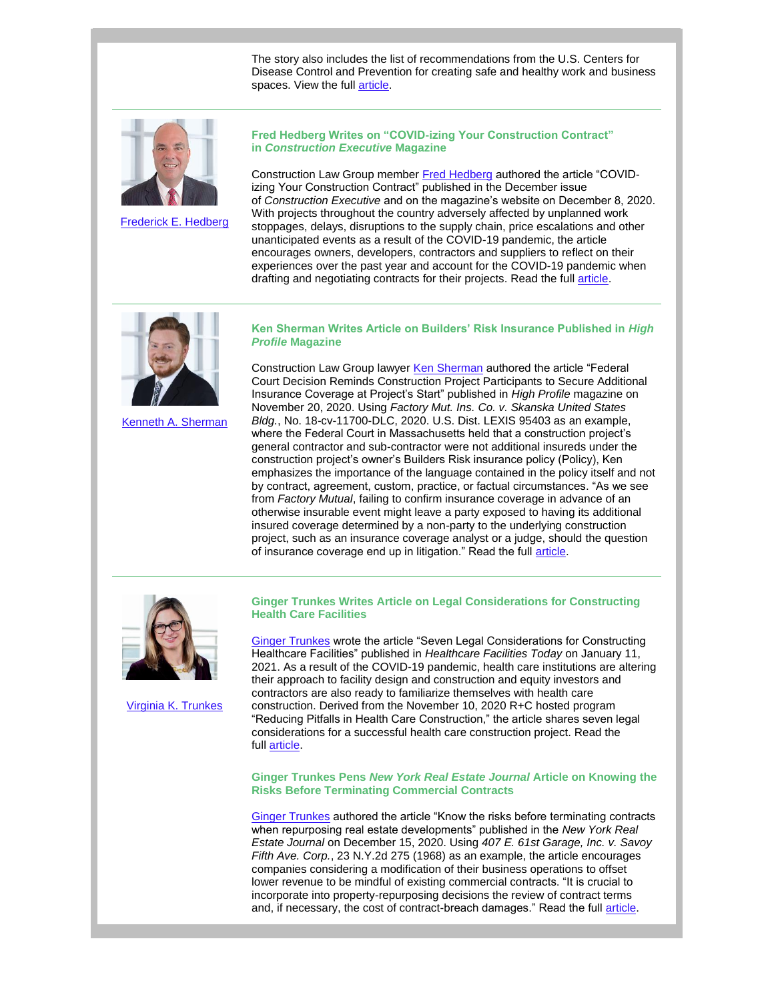The story also includes the list of recommendations from the U.S. Centers for Disease Control and Prevention for creating safe and healthy work and business spaces. View the full [article.](https://www.high-profile.com/impacts-of-the-covid-pandemic-on-design-and-construction-hvac-upgrades/)



[Frederick E. Hedberg](http://www.rc.com/people/FrederickHedberg.cfm)

**Fred Hedberg Writes on "COVID-izing Your Construction Contract" in** *Construction Executive* **Magazine**

Construction Law Group member [Fred Hedberg](http://www.rc.com/people/FrederickHedberg.cfm) authored the article "COVIDizing Your Construction Contract" published in the December issue of *Construction Executive* and on the magazine's website on December 8, 2020. With projects throughout the country adversely affected by unplanned work stoppages, delays, disruptions to the supply chain, price escalations and other unanticipated events as a result of the COVID-19 pandemic, the article encourages owners, developers, contractors and suppliers to reflect on their experiences over the past year and account for the COVID-19 pandemic when drafting and negotiating contracts for their projects. Read the full [article.](https://www.constructionexec.com/article/covid-izing-your-construction-contract)



[Kenneth A. Sherman](http://www.rc.com/people/KennethASherman.cfm)

## **Ken Sherman Writes Article on Builders' Risk Insurance Published in** *High Profile* **Magazine**

Construction Law Group lawyer [Ken Sherman](http://www.rc.com/people/KennethASherman.cfm) authored the article "Federal Court Decision Reminds Construction Project Participants to Secure Additional Insurance Coverage at Project's Start" published in *High Profile* magazine on November 20, 2020. Using *Factory Mut. Ins. Co. v. Skanska United States Bldg.*, No. 18-cv-11700-DLC, 2020. U.S. Dist. LEXIS 95403 as an example, where the Federal Court in Massachusetts held that a construction project's general contractor and sub-contractor were not additional insureds under the construction project's owner's Builders Risk insurance policy (Policy), Ken emphasizes the importance of the language contained in the policy itself and not by contract, agreement, custom, practice, or factual circumstances. "As we see from *Factory Mutual*, failing to confirm insurance coverage in advance of an otherwise insurable event might leave a party exposed to having its additional insured coverage determined by a non-party to the underlying construction project, such as an insurance coverage analyst or a judge, should the question of insurance coverage end up in litigation." Read the full [article.](https://www.high-profile.com/federal-court-decision-reminds-construction-project-participants-to-secure-additional-insurance-coverage-at-projects-start/)



[Virginia K. Trunkes](http://www.rc.com/people/VirginiaKTrunkes.cfm)

**Ginger Trunkes Writes Article on Legal Considerations for Constructing Health Care Facilities**

[Ginger Trunkes](http://www.rc.com/people/VirginiaKTrunkes.cfm) wrote the article "Seven Legal Considerations for Constructing Healthcare Facilities" published in *Healthcare Facilities Today* on January 11, 2021. As a result of the COVID-19 pandemic, health care institutions are altering their approach to facility design and construction and equity investors and contractors are also ready to familiarize themselves with health care construction. Derived from the November 10, 2020 R+C hosted program "Reducing Pitfalls in Health Care Construction," the article shares seven legal considerations for a successful health care construction project. Read the full [article.](https://www.healthcarefacilitiestoday.com/posts/Seven-Legal-Considerations-for-Constructing-Healthcare-Facilities--25636)

**Ginger Trunkes Pens** *New York Real Estate Journal* **Article on Knowing the Risks Before Terminating Commercial Contracts**

[Ginger Trunkes](http://www.rc.com/people/VirginiaKTrunkes.cfm) authored the article "Know the risks before terminating contracts when repurposing real estate developments" published in the *New York Real Estate Journal* on December 15, 2020. Using *407 E. 61st Garage, Inc. v. Savoy Fifth Ave. Corp.*, 23 N.Y.2d 275 (1968) as an example, the article encourages companies considering a modification of their business operations to offset lower revenue to be mindful of existing commercial contracts. "It is crucial to incorporate into property-repurposing decisions the review of contract terms and, if necessary, the cost of contract-breach damages." Read the full [article.](https://nyrej.com/know-the-risks-before-terminating-contracts-when-repurposing-real-estate-developments-by-virginia-trunkes)